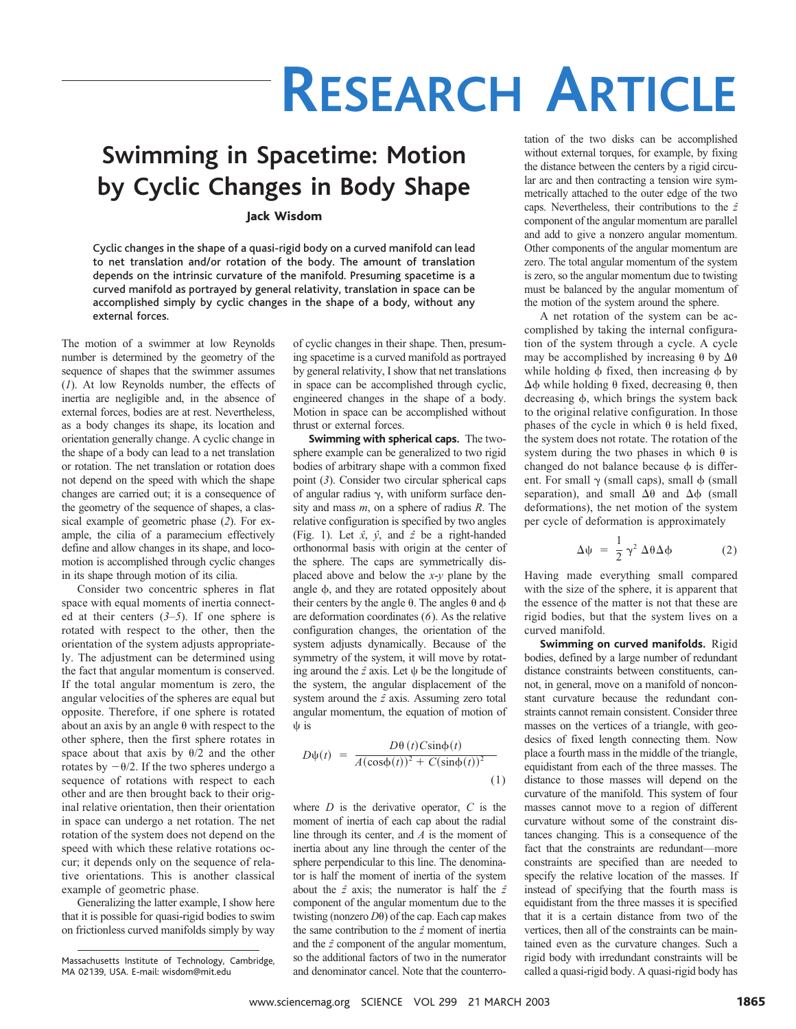## **RESEARCH ARTICLE**

## **Swimming in Spacetime: Motion by Cyclic Changes in Body Shape**

Jack Wisdom

Cyclic changes in the shape of a quasi-rigid body on a curved manifold can lead to net translation and/or rotation of the body. The amount of translation depends on the intrinsic curvature of the manifold. Presuming spacetime is a curved manifold as portrayed by general relativity, translation in space can be accomplished simply by cyclic changes in the shape of a body, without any external forces.

The motion of a swimmer at low Reynolds number is determined by the geometry of the sequence of shapes that the swimmer assumes (*1*). At low Reynolds number, the effects of inertia are negligible and, in the absence of external forces, bodies are at rest. Nevertheless, as a body changes its shape, its location and orientation generally change. A cyclic change in the shape of a body can lead to a net translation or rotation. The net translation or rotation does not depend on the speed with which the shape changes are carried out; it is a consequence of the geometry of the sequence of shapes, a classical example of geometric phase (*2*). For example, the cilia of a paramecium effectively define and allow changes in its shape, and locomotion is accomplished through cyclic changes in its shape through motion of its cilia.

Consider two concentric spheres in flat space with equal moments of inertia connected at their centers (*3*–*5*). If one sphere is rotated with respect to the other, then the orientation of the system adjusts appropriately. The adjustment can be determined using the fact that angular momentum is conserved. If the total angular momentum is zero, the angular velocities of the spheres are equal but opposite. Therefore, if one sphere is rotated about an axis by an angle  $\theta$  with respect to the other sphere, then the first sphere rotates in space about that axis by  $\theta/2$  and the other rotates by  $-\theta/2$ . If the two spheres undergo a sequence of rotations with respect to each other and are then brought back to their original relative orientation, then their orientation in space can undergo a net rotation. The net rotation of the system does not depend on the speed with which these relative rotations occur; it depends only on the sequence of relative orientations. This is another classical example of geometric phase.

Generalizing the latter example, I show here that it is possible for quasi-rigid bodies to swim on frictionless curved manifolds simply by way of cyclic changes in their shape. Then, presuming spacetime is a curved manifold as portrayed by general relativity, I show that net translations in space can be accomplished through cyclic, engineered changes in the shape of a body. Motion in space can be accomplished without thrust or external forces.

**Swimming with spherical caps.** The twosphere example can be generalized to two rigid bodies of arbitrary shape with a common fixed point (*3*). Consider two circular spherical caps of angular radius  $\gamma$ , with uniform surface density and mass *m*, on a sphere of radius *R*. The relative configuration is specified by two angles (Fig. 1). Let *xˆ*, *yˆ*, and *zˆ* be a right-handed orthonormal basis with origin at the center of the sphere. The caps are symmetrically displaced above and below the *x*-*y* plane by the angle  $\phi$ , and they are rotated oppositely about their centers by the angle  $\theta$ . The angles  $\theta$  and  $\phi$ are deformation coordinates (*6*). As the relative configuration changes, the orientation of the system adjusts dynamically. Because of the symmetry of the system, it will move by rotating around the  $\hat{z}$  axis. Let  $\psi$  be the longitude of the system, the angular displacement of the system around the *zˆ* axis. Assuming zero total angular momentum, the equation of motion of is

$$
D\psi(t) = \frac{D\theta(t)C\sin\phi(t)}{A(\cos\phi(t))^2 + C(\sin\phi(t))^2}
$$
\n(1)

where *D* is the derivative operator, *C* is the moment of inertia of each cap about the radial line through its center, and *A* is the moment of inertia about any line through the center of the sphere perpendicular to this line. The denominator is half the moment of inertia of the system about the *zˆ* axis; the numerator is half the *zˆ* component of the angular momentum due to the twisting (nonzero  $D\theta$ ) of the cap. Each cap makes the same contribution to the *zˆ* moment of inertia and the *zˆ* component of the angular momentum, so the additional factors of two in the numerator and denominator cancel. Note that the counterrotation of the two disks can be accomplished without external torques, for example, by fixing the distance between the centers by a rigid circular arc and then contracting a tension wire symmetrically attached to the outer edge of the two caps. Nevertheless, their contributions to the *zˆ* component of the angular momentum are parallel and add to give a nonzero angular momentum. Other components of the angular momentum are zero. The total angular momentum of the system is zero, so the angular momentum due to twisting must be balanced by the angular momentum of the motion of the system around the sphere.

A net rotation of the system can be accomplished by taking the internal configuration of the system through a cycle. A cycle may be accomplished by increasing  $\theta$  by  $\Delta\theta$ while holding  $\phi$  fixed, then increasing  $\phi$  by  $\Delta \phi$  while holding  $\theta$  fixed, decreasing  $\theta$ , then decreasing  $\phi$ , which brings the system back to the original relative configuration. In those phases of the cycle in which  $\theta$  is held fixed, the system does not rotate. The rotation of the system during the two phases in which  $\theta$  is changed do not balance because  $\phi$  is different. For small  $\gamma$  (small caps), small  $\phi$  (small separation), and small  $\Delta\theta$  and  $\Delta\phi$  (small deformations), the net motion of the system per cycle of deformation is approximately

$$
\Delta \psi = \frac{1}{2} \gamma^2 \Delta \theta \Delta \phi
$$
 (2)

Having made everything small compared with the size of the sphere, it is apparent that the essence of the matter is not that these are rigid bodies, but that the system lives on a curved manifold.

**Swimming on curved manifolds.** Rigid bodies, defined by a large number of redundant distance constraints between constituents, cannot, in general, move on a manifold of nonconstant curvature because the redundant constraints cannot remain consistent. Consider three masses on the vertices of a triangle, with geodesics of fixed length connecting them. Now place a fourth mass in the middle of the triangle, equidistant from each of the three masses. The distance to those masses will depend on the curvature of the manifold. This system of four masses cannot move to a region of different curvature without some of the constraint distances changing. This is a consequence of the fact that the constraints are redundant—more constraints are specified than are needed to specify the relative location of the masses. If instead of specifying that the fourth mass is equidistant from the three masses it is specified that it is a certain distance from two of the vertices, then all of the constraints can be maintained even as the curvature changes. Such a rigid body with irredundant constraints will be called a quasi-rigid body. A quasi-rigid body has

Massachusetts Institute of Technology, Cambridge, MA 02139, USA.E-mail: wisdom@mit.edu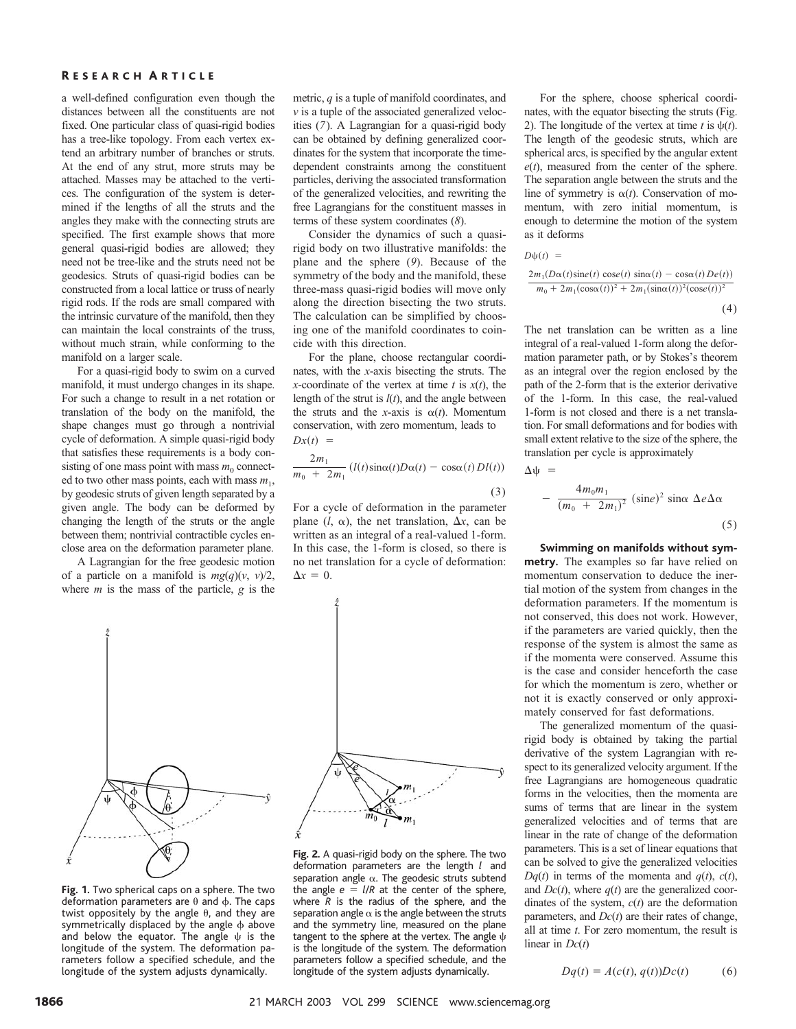#### R ESEARCH A RTICLE

a well-defined configuration even though the distances between all the constituents are not fixed. One particular class of quasi-rigid bodies has a tree-like topology. From each vertex extend an arbitrary number of branches or struts. At the end of any strut, more struts may be attached. Masses may be attached to the vertices. The configuration of the system is determined if the lengths of all the struts and the angles they make with the connecting struts are specified. The first example shows that more general quasi-rigid bodies are allowed; they need not be tree-like and the struts need not be geodesics. Struts of quasi-rigid bodies can be constructed from a local lattice or truss of nearly rigid rods. If the rods are small compared with the intrinsic curvature of the manifold, then they can maintain the local constraints of the truss, without much strain, while conforming to the manifold on a larger scale.

For a quasi-rigid body to swim on a curved manifold, it must undergo changes in its shape. For such a change to result in a net rotation or translation of the body on the manifold, the shape changes must go through a nontrivial cycle of deformation. A simple quasi-rigid body that satisfies these requirements is a body consisting of one mass point with mass  $m_0$  connected to two other mass points, each with mass  $m_1$ , by geodesic struts of given length separated by a given angle. The body can be deformed by changing the length of the struts or the angle between them; nontrivial contractible cycles enclose area on the deformation parameter plane.

A Lagrangian for the free geodesic motion of a particle on a manifold is  $mg(q)(v, v)/2$ , where *m* is the mass of the particle, *g* is the

metric, *q* is a tuple of manifold coordinates, and *v* is a tuple of the associated generalized velocities (*7*). A Lagrangian for a quasi-rigid body can be obtained by defining generalized coordinates for the system that incorporate the timedependent constraints among the constituent particles, deriving the associated transformation of the generalized velocities, and rewriting the free Lagrangians for the constituent masses in terms of these system coordinates (*8*).

Consider the dynamics of such a quasirigid body on two illustrative manifolds: the plane and the sphere (*9*). Because of the symmetry of the body and the manifold, these three-mass quasi-rigid bodies will move only along the direction bisecting the two struts. The calculation can be simplified by choosing one of the manifold coordinates to coincide with this direction.

For the plane, choose rectangular coordinates, with the *x*-axis bisecting the struts. The *x*-coordinate of the vertex at time  $t$  is  $x(t)$ , the length of the strut is *l*(*t*), and the angle between the struts and the *x*-axis is  $\alpha(t)$ . Momentum conservation, with zero momentum, leads to  $Dx(t) =$ 

$$
\frac{2m_1}{m_0 + 2m_1} \left( l(t) \sin(\alpha t) D\alpha(t) - \cos(\alpha t) Dl(t) \right) \tag{3}
$$

For a cycle of deformation in the parameter plane  $(l, \alpha)$ , the net translation,  $\Delta x$ , can be written as an integral of a real-valued 1-form. In this case, the 1-form is closed, so there is no net translation for a cycle of deformation:  $\Delta x = 0.$ 



Fig. 1. Two spherical caps on a sphere. The two deformation parameters are  $\theta$  and  $\phi$ . The caps twist oppositely by the angle  $\theta$ , and they are symmetrically displaced by the angle  $\phi$  above and below the equator. The angle  $\psi$  is the longitude of the system. The deformation parameters follow a specified schedule, and the longitude of the system adjusts dynamically.

Fig. 2. A quasi-rigid body on the sphere. The two deformation parameters are the length *l* and separation angle  $\alpha$ . The geodesic struts subtend the angle *e l*/*R* at the center of the sphere, where *R* is the radius of the sphere, and the separation angle  $\alpha$  is the angle between the struts and the symmetry line, measured on the plane tangent to the sphere at the vertex. The angle  $\psi$ is the longitude of the system. The deformation parameters follow a specified schedule, and the longitude of the system adjusts dynamically.

For the sphere, choose spherical coordinates, with the equator bisecting the struts (Fig. 2). The longitude of the vertex at time *t* is  $\psi(t)$ . The length of the geodesic struts, which are spherical arcs, is specified by the angular extent  $e(t)$ , measured from the center of the sphere. The separation angle between the struts and the line of symmetry is  $\alpha(t)$ . Conservation of momentum, with zero initial momentum, is enough to determine the motion of the system as it deforms

 $D\psi(t) =$ 

$$
\frac{2m_1(D\alpha(t)\operatorname{sine}(t)\operatorname{cos}e(t)\operatorname{sine}(t)-\operatorname{cos}\alpha(t)De(t))}{m_0+2m_1(\operatorname{cos}\alpha(t))^2+2m_1(\operatorname{sina}(t))^2(\operatorname{cos}e(t))^2}
$$
\n(4)

The net translation can be written as a line integral of a real-valued 1-form along the deformation parameter path, or by Stokes's theorem as an integral over the region enclosed by the path of the 2-form that is the exterior derivative of the 1-form. In this case, the real-valued 1-form is not closed and there is a net translation. For small deformations and for bodies with small extent relative to the size of the sphere, the translation per cycle is approximately

$$
\Delta \psi =
$$
  
- 
$$
\frac{4m_0m_1}{(m_0 + 2m_1)^2} (\text{sine})^2 \sin \alpha \ \Delta e \Delta \alpha
$$
 (5)

**Swimming on manifolds without symmetry.** The examples so far have relied on momentum conservation to deduce the inertial motion of the system from changes in the deformation parameters. If the momentum is not conserved, this does not work. However, if the parameters are varied quickly, then the response of the system is almost the same as if the momenta were conserved. Assume this is the case and consider henceforth the case for which the momentum is zero, whether or not it is exactly conserved or only approximately conserved for fast deformations.

The generalized momentum of the quasirigid body is obtained by taking the partial derivative of the system Lagrangian with respect to its generalized velocity argument. If the free Lagrangians are homogeneous quadratic forms in the velocities, then the momenta are sums of terms that are linear in the system generalized velocities and of terms that are linear in the rate of change of the deformation parameters. This is a set of linear equations that can be solved to give the generalized velocities *Dq*(*t*) in terms of the momenta and  $q(t)$ ,  $c(t)$ , and  $Dc(t)$ , where  $q(t)$  are the generalized coordinates of the system, *c*(*t*) are the deformation parameters, and *Dc*(*t*) are their rates of change, all at time *t*. For zero momentum, the result is linear in *Dc*(*t*)

$$
Dq(t) = A(c(t), q(t))Dc(t)
$$
 (6)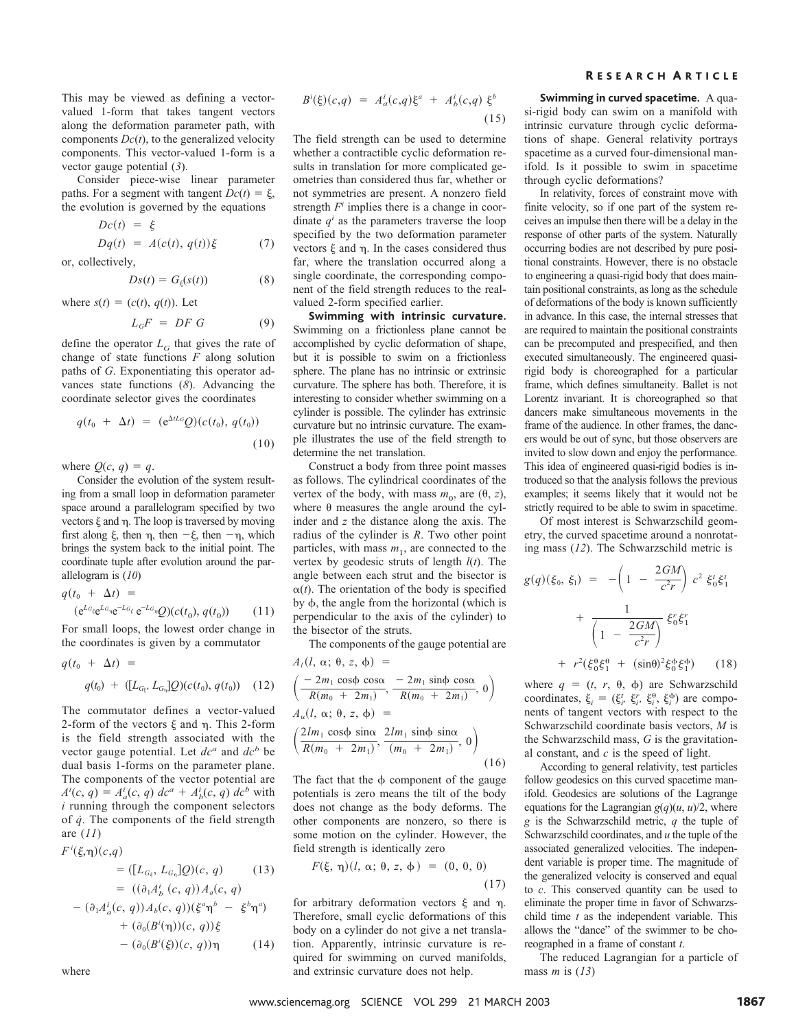This may be viewed as defining a vectorvalued 1-form that takes tangent vectors along the deformation parameter path, with components  $Dc(t)$ , to the generalized velocity components. This vector-valued 1-form is a vector gauge potential (*3*).

Consider piece-wise linear parameter paths. For a segment with tangent  $Dc(t) = \xi$ , the evolution is governed by the equations

$$
Dc(t) = \xi
$$
  

$$
Dq(t) = A(c(t), q(t))\xi
$$
 (7)

or, collectively,

$$
Ds(t) = G_{\xi}(s(t)) \tag{8}
$$

where  $s(t) = (c(t), q(t))$ . Let

$$
L_G F = DF G \tag{9}
$$

define the operator  $L_G$  that gives the rate of change of state functions *F* along solution paths of *G*. Exponentiating this operator advances state functions (*8*). Advancing the coordinate selector gives the coordinates

$$
q(t_0 + \Delta t) = (e^{\Delta t L_G} Q)(c(t_0), q(t_0))
$$
\n(10)

where  $Q(c, q) = q$ .

Consider the evolution of the system resulting from a small loop in deformation parameter space around a parallelogram specified by two vectors  $\xi$  and  $\eta$ . The loop is traversed by moving first along  $\xi$ , then  $\eta$ , then  $-\xi$ , then  $-\eta$ , which brings the system back to the initial point. The coordinate tuple after evolution around the parallelogram is (*10*)

$$
q(t_0 + \Delta t) =
$$
  
\n
$$
(e^{L_G} e^{L_G} e^{-L_G} e^{-L_G} Q)(c(t_0), q(t_0))
$$
\n(11)

For small loops, the lowest order change in the coordinates is given by a commutator

$$
q(t_0 + \Delta t) =
$$
  
 
$$
q(t_0) + ([L_{G_{\xi}}, L_{G_{\eta}}]Q)(c(t_0), q(t_0))
$$
 (12)

The commutator defines a vector-valued 2-form of the vectors  $\xi$  and  $\eta$ . This 2-form is the field strength associated with the vector gauge potential. Let  $dc^a$  and  $dc^b$  be dual basis 1-forms on the parameter plane. The components of the vector potential are  $A^{i}(c, q) = A_{a}^{i}(c, q) dc^{a} + A_{b}^{i}(c, q) dc^{b}$  with *i* running through the component selectors of *q˙*. The components of the field strength are (*11*)

$$
F^{i}(\xi,\eta)(c,q) = ([L_{G_{\xi}}, L_{G_{\eta}}]Q)(c, q)
$$
 (13)  

$$
= ((\partial_{1}A_{b}^{i}(c, q))A_{a}(c, q)
$$

$$
- (\partial_{1}A_{a}^{i}(c, q))A_{b}(c, q))(\xi^{a}\eta^{b} - \xi^{b}\eta^{a})
$$

$$
+ (\partial_{0}(B^{i}(\eta))(c, q))\xi
$$

$$
- (\partial_{0}(B^{i}(\xi))(c, q))\eta
$$
 (14)

$$
B^{i}(\xi)(c,q) = A_{a}^{i}(c,q)\xi^{a} + A_{b}^{i}(c,q)\xi^{b}
$$
\n(15)

The field strength can be used to determine whether a contractible cyclic deformation results in translation for more complicated geometries than considered thus far, whether or not symmetries are present. A nonzero field strength *Fi* implies there is a change in coordinate  $q<sup>i</sup>$  as the parameters traverse the loop specified by the two deformation parameter vectors  $\xi$  and  $\eta$ . In the cases considered thus far, where the translation occurred along a single coordinate, the corresponding component of the field strength reduces to the realvalued 2-form specified earlier.

**Swimming with intrinsic curvature.** Swimming on a frictionless plane cannot be accomplished by cyclic deformation of shape, but it is possible to swim on a frictionless sphere. The plane has no intrinsic or extrinsic curvature. The sphere has both. Therefore, it is interesting to consider whether swimming on a cylinder is possible. The cylinder has extrinsic curvature but no intrinsic curvature. The example illustrates the use of the field strength to determine the net translation.

Construct a body from three point masses as follows. The cylindrical coordinates of the vertex of the body, with mass  $m_0$ , are  $(\theta, z)$ , where  $\theta$  measures the angle around the cylinder and *z* the distance along the axis. The radius of the cylinder is *R*. Two other point particles, with mass  $m_1$ , are connected to the vertex by geodesic struts of length *l*(*t*). The angle between each strut and the bisector is  $\alpha(t)$ . The orientation of the body is specified by  $\phi$ , the angle from the horizontal (which is perpendicular to the axis of the cylinder) to the bisector of the struts.

The components of the gauge potential are

$$
A_{l}(l, \alpha; \theta, z, \phi) =
$$
\n
$$
\left(\frac{-2m_{1} \cos\phi \cos\alpha}{R(m_{0} + 2m_{1})}, \frac{-2m_{1} \sin\phi \cos\alpha}{R(m_{0} + 2m_{1})}, 0\right)
$$
\n
$$
A_{\alpha}(l, \alpha; \theta, z, \phi) =
$$
\n
$$
\left(\frac{2lm_{1} \cos\phi \sin\alpha}{R(m_{0} + 2m_{1})}, \frac{2lm_{1} \sin\phi \sin\alpha}{(m_{0} + 2m_{1})}, 0\right)
$$
\n(16)

The fact that the  $\phi$  component of the gauge potentials is zero means the tilt of the body does not change as the body deforms. The other components are nonzero, so there is some motion on the cylinder. However, the field strength is identically zero

$$
F(\xi, \eta)(l, \alpha; \theta, z, \phi) = (0, 0, 0)
$$
\n(17)

for arbitrary deformation vectors  $\xi$  and  $\eta$ . Therefore, small cyclic deformations of this body on a cylinder do not give a net translation. Apparently, intrinsic curvature is required for swimming on curved manifolds, and extrinsic curvature does not help.

#### R ESEARCH A RTICLE

**Swimming in curved spacetime.** A quasi-rigid body can swim on a manifold with intrinsic curvature through cyclic deformations of shape. General relativity portrays spacetime as a curved four-dimensional manifold. Is it possible to swim in spacetime through cyclic deformations?

In relativity, forces of constraint move with finite velocity, so if one part of the system receives an impulse then there will be a delay in the response of other parts of the system. Naturally occurring bodies are not described by pure positional constraints. However, there is no obstacle to engineering a quasi-rigid body that does maintain positional constraints, as long as the schedule of deformations of the body is known sufficiently in advance. In this case, the internal stresses that are required to maintain the positional constraints can be precomputed and prespecified, and then executed simultaneously. The engineered quasirigid body is choreographed for a particular frame, which defines simultaneity. Ballet is not Lorentz invariant. It is choreographed so that dancers make simultaneous movements in the frame of the audience. In other frames, the dancers would be out of sync, but those observers are invited to slow down and enjoy the performance. This idea of engineered quasi-rigid bodies is introduced so that the analysis follows the previous examples; it seems likely that it would not be strictly required to be able to swim in spacetime.

Of most interest is Schwarzschild geometry, the curved spacetime around a nonrotating mass (*12*). The Schwarzschild metric is

$$
g(q)(\xi_0, \xi_1) = -\left(1 - \frac{2GM}{c^2r}\right)c^2 \xi_0^t \xi_1^t
$$
  
+ 
$$
\frac{1}{\left(1 - \frac{2GM}{c^2r}\right)} \xi_0^r \xi_1^r
$$
  
+ 
$$
r^2(\xi_0^0 \xi_1^0 + (\sin\theta)^2 \xi_0^b \xi_1^b)
$$
 (18)

where  $q = (t, r, \theta, \phi)$  are Schwarzschild coordinates,  $\xi_i = (\xi_i^t, \xi_i^c, \xi_i^0, \xi_i^0)$  are components of tangent vectors with respect to the Schwarzschild coordinate basis vectors, *M* is the Schwarzschild mass, *G* is the gravitational constant, and *c* is the speed of light.

According to general relativity, test particles follow geodesics on this curved spacetime manifold. Geodesics are solutions of the Lagrange equations for the Lagrangian  $g(q)(u, u)/2$ , where *g* is the Schwarzschild metric, *q* the tuple of Schwarzschild coordinates, and *u* the tuple of the associated generalized velocities. The independent variable is proper time. The magnitude of the generalized velocity is conserved and equal to *c*. This conserved quantity can be used to eliminate the proper time in favor of Schwarzschild time *t* as the independent variable. This allows the "dance" of the swimmer to be choreographed in a frame of constant *t*.

The reduced Lagrangian for a particle of mass *m* is (*13*)

www.sciencemag.org SCIENCE VOL 299 21 MARCH 2003

where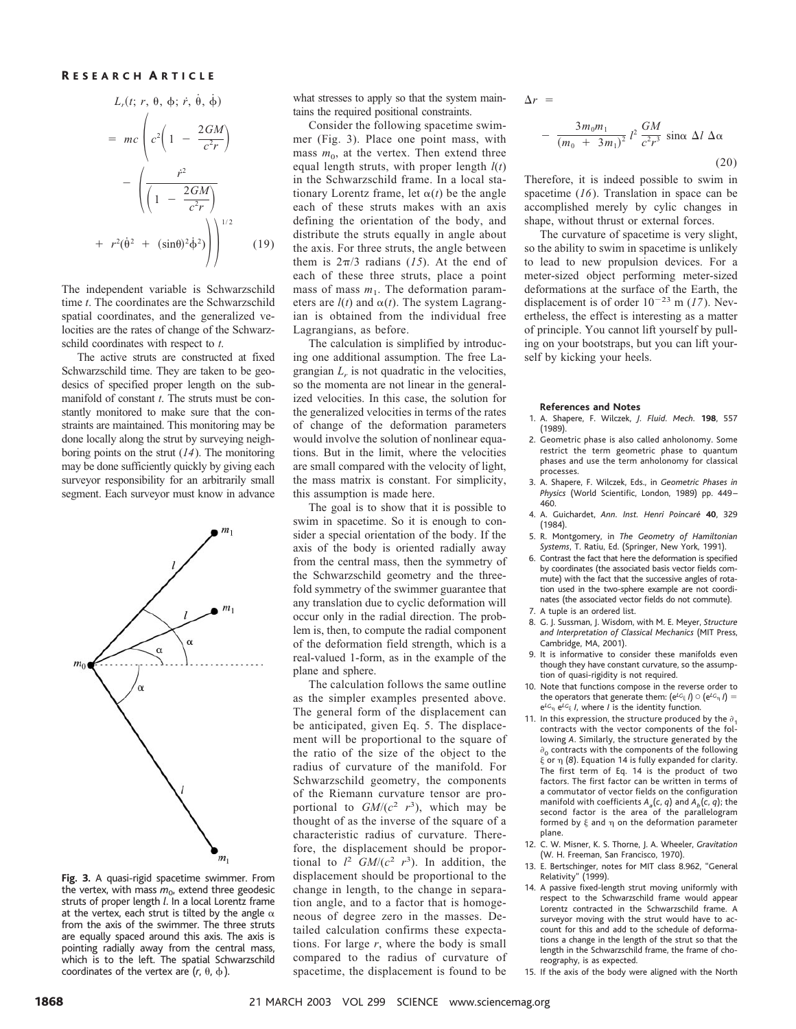#### R ESEARCH A RTICLE

$$
L_r(t; r, \theta, \phi; \dot{r}, \dot{\theta}, \dot{\phi})
$$
  
=  $mc \left( c^2 \left( 1 - \frac{2GM}{c^2 r} \right) - \left( \frac{r^2}{\left( 1 - \frac{2GM}{c^2 r} \right)} \right) + r^2 (\dot{\theta}^2 + (\sin\theta)^2 \dot{\phi}^2) \right)^{1/2}$  (19)

The independent variable is Schwarzschild time *t*. The coordinates are the Schwarzschild spatial coordinates, and the generalized velocities are the rates of change of the Schwarzschild coordinates with respect to *t*.

The active struts are constructed at fixed Schwarzschild time. They are taken to be geodesics of specified proper length on the submanifold of constant *t*. The struts must be constantly monitored to make sure that the constraints are maintained. This monitoring may be done locally along the strut by surveying neighboring points on the strut (*14*). The monitoring may be done sufficiently quickly by giving each surveyor responsibility for an arbitrarily small segment. Each surveyor must know in advance



Fig. 3. A quasi-rigid spacetime swimmer. From the vertex, with mass  $m_{0}$ , extend three geodesic struts of proper length *l*. In a local Lorentz frame at the vertex, each strut is tilted by the angle  $\alpha$ from the axis of the swimmer. The three struts are equally spaced around this axis. The axis is pointing radially away from the central mass, which is to the left. The spatial Schwarzschild coordinates of the vertex are  $(r, \theta, \phi)$ .

what stresses to apply so that the system maintains the required positional constraints.

Consider the following spacetime swimmer (Fig. 3). Place one point mass, with mass  $m_0$ , at the vertex. Then extend three equal length struts, with proper length *l*(*t*) in the Schwarzschild frame. In a local stationary Lorentz frame, let  $\alpha(t)$  be the angle each of these struts makes with an axis defining the orientation of the body, and distribute the struts equally in angle about the axis. For three struts, the angle between them is  $2\pi/3$  radians (15). At the end of each of these three struts, place a point mass of mass  $m_1$ . The deformation parameters are  $l(t)$  and  $\alpha(t)$ . The system Lagrangian is obtained from the individual free Lagrangians, as before.

The calculation is simplified by introducing one additional assumption. The free Lagrangian  $L_r$  is not quadratic in the velocities, so the momenta are not linear in the generalized velocities. In this case, the solution for the generalized velocities in terms of the rates of change of the deformation parameters would involve the solution of nonlinear equations. But in the limit, where the velocities are small compared with the velocity of light, the mass matrix is constant. For simplicity, this assumption is made here.

The goal is to show that it is possible to swim in spacetime. So it is enough to consider a special orientation of the body. If the axis of the body is oriented radially away from the central mass, then the symmetry of the Schwarzschild geometry and the threefold symmetry of the swimmer guarantee that any translation due to cyclic deformation will occur only in the radial direction. The problem is, then, to compute the radial component of the deformation field strength, which is a real-valued 1-form, as in the example of the plane and sphere.

The calculation follows the same outline as the simpler examples presented above. The general form of the displacement can be anticipated, given Eq. 5. The displacement will be proportional to the square of the ratio of the size of the object to the radius of curvature of the manifold. For Schwarzschild geometry, the components of the Riemann curvature tensor are proportional to  $GM/(c^2 r^3)$ , which may be thought of as the inverse of the square of a characteristic radius of curvature. Therefore, the displacement should be proportional to  $l^2$  *GM*/( $c^2$   $r^3$ ). In addition, the displacement should be proportional to the change in length, to the change in separation angle, and to a factor that is homogeneous of degree zero in the masses. Detailed calculation confirms these expectations. For large *r*, where the body is small compared to the radius of curvature of spacetime, the displacement is found to be

 $\Lambda r =$ 

$$
-\frac{3m_0m_1}{(m_0+3m_1)^2}l^2\frac{GM}{c^2r^3}\sin\alpha\,\Delta l\,\Delta\alpha
$$

(20)

Therefore, it is indeed possible to swim in spacetime (*16*). Translation in space can be accomplished merely by cylic changes in shape, without thrust or external forces.

The curvature of spacetime is very slight, so the ability to swim in spacetime is unlikely to lead to new propulsion devices. For a meter-sized object performing meter-sized deformations at the surface of the Earth, the displacement is of order  $10^{-23}$  m (17). Nevertheless, the effect is interesting as a matter of principle. You cannot lift yourself by pulling on your bootstraps, but you can lift yourself by kicking your heels.

#### **References and Notes**

- 1.A.Shapere, F.Wilczek, *J. Fluid. Mech.* **198**, 557 (1989).
- 2. Geometric phase is also called anholonomy. Some restrict the term geometric phase to quantum phases and use the term anholonomy for classical processes.
- 3.A.Shapere, F.Wilczek, Eds., in *Geometric Phases in* Physics (World Scientific, London, 1989) pp. 449-460.
- 4.A.Guichardet, *Ann. Inst. Henri Poincare´* **40**, 329 (1984).
- 5.R.Montgomery, in *The Geometry of Hamiltonian* Systems, T. Ratiu, Ed. (Springer, New York, 1991).
- 6.Contrast the fact that here the deformation is specified by coordinates (the associated basis vector fields commute) with the fact that the successive angles of rotation used in the two-sphere example are not coordinates (the associated vector fields do not commute).
- 7.A tuple is an ordered list.
- 8. G.J.Sussman, J.Wisdom, with M.E.Meyer, *Structure and Interpretation of Classical Mechanics* (MIT Press, Cambridge, MA, 2001).
- 9.It is informative to consider these manifolds even though they have constant curvature, so the assumption of quasi-rigidity is not required.
- 10. Note that functions compose in the reverse order to the operators that generate them:  $(e^{L}G_{\xi} I) \circ (e^{L}G_{\eta} I) =$ e*LG* e*LG I*, where *I* is the identity function.
- 11. In this expression, the structure produced by the  $\partial_1$ contracts with the vector components of the following *A*.Similarly, the structure generated by the  $\partial_{\Omega}$  contracts with the components of the following or  (*8*).Equation 14 is fully expanded for clarity. The first term of Eq.14 is the product of two factors. The first factor can be written in terms of a commutator of vector fields on the configuration manifold with coefficients  $A_a(c, q)$  and  $A_b(c, q)$ ; the second factor is the area of the parallelogram formed by  $\xi$  and  $\eta$  on the deformation parameter plane.
- 12. C.W.Misner, K.S.Thorne, J.A.Wheeler, *Gravitation* (W.H.Freeman, San Francisco, 1970).
- 13. E. Bertschinger, notes for MIT class 8.962, "General Relativity" (1999).
- 14. A passive fixed-length strut moving uniformly with respect to the Schwarzschild frame would appear Lorentz contracted in the Schwarzschild frame. A surveyor moving with the strut would have to account for this and add to the schedule of deformations a change in the length of the strut so that the length in the Schwarzschild frame, the frame of choreography, is as expected.
- 15.If the axis of the body were aligned with the North